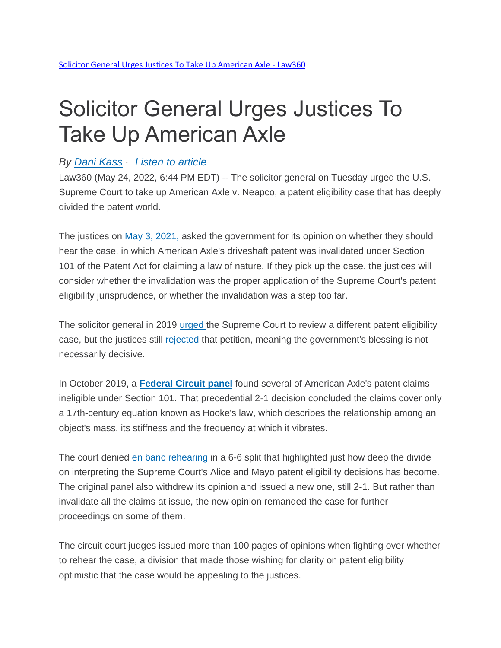## Solicitor General Urges Justices To Take Up American Axle

## *By Dani [Kass](https://www.law360.com/ip/articles/1472941/solicitor-general-urges-justices-to-take-up-american-axle) · [Listen](https://www.law360.com/ip/articles/1472941/solicitor-general-urges-justices-to-take-up-american-axle) to article*

Law360 (May 24, 2022, 6:44 PM EDT) -- The solicitor general on Tuesday urged the U.S. Supreme Court to take up American Axle v. Neapco, a patent eligibility case that has deeply divided the patent world.

The justices on May 3, [2021,](https://www.law360.com/articles/1487255) asked the government for its opinion on whether they should hear the case, in which American Axle's driveshaft patent was invalidated under Section 101 of the Patent Act for claiming a law of nature. If they pick up the case, the justices will consider whether the invalidation was the proper application of the Supreme Court's patent eligibility jurisprudence, or whether the invalidation was a step too far.

The solicitor general in 2019 [urged](https://www.law360.com/articles/1226435) the Supreme Court to review a different patent eligibility case, but the justices still [rejected](https://www.law360.com/articles/1233633/high-court-slams-door-on-pleas-to-redo-patent-eligibility) that petition, meaning the government's blessing is not necessarily decisive.

In October 2019, a **[Federal Circuit panel](https://www.law360.com/articles/1205818)** found several of American Axle's patent claims ineligible under Section 101. That precedential 2-1 decision concluded the claims cover only a 17th-century equation known as Hooke's law, which describes the relationship among an object's mass, its stiffness and the frequency at which it vibrates.

The court denied <u>en banc [rehearing](https://www.law360.com/articles/1297319)</u> in a 6-6 split that highlighted just how deep the divide on interpreting the Supreme Court's Alice and Mayo patent eligibility decisions has become. The original panel also withdrew its opinion and issued a new one, still 2-1. But rather than invalidate all the claims at issue, the new opinion remanded the case for further proceedings on some of them.

The circuit court judges issued more than 100 pages of opinions when fighting over whether to rehear the case, a division that made those wishing for clarity on patent eligibility optimistic that the case would be appealing to the justices.